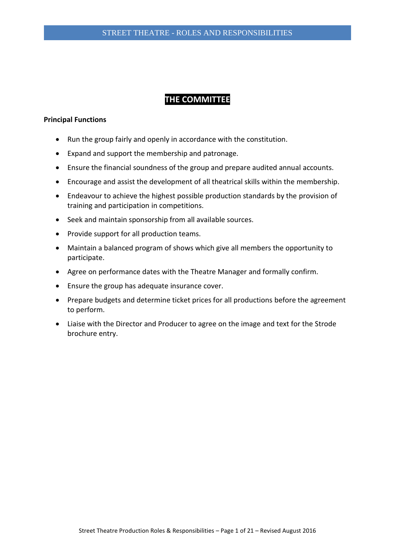# **THE COMMITTEE**

## **Principal Functions**

- Run the group fairly and openly in accordance with the constitution.
- Expand and support the membership and patronage.
- Ensure the financial soundness of the group and prepare audited annual accounts.
- Encourage and assist the development of all theatrical skills within the membership.
- Endeavour to achieve the highest possible production standards by the provision of training and participation in competitions.
- Seek and maintain sponsorship from all available sources.
- Provide support for all production teams.
- Maintain a balanced program of shows which give all members the opportunity to participate.
- Agree on performance dates with the Theatre Manager and formally confirm.
- Ensure the group has adequate insurance cover.
- Prepare budgets and determine ticket prices for all productions before the agreement to perform.
- Liaise with the Director and Producer to agree on the image and text for the Strode brochure entry.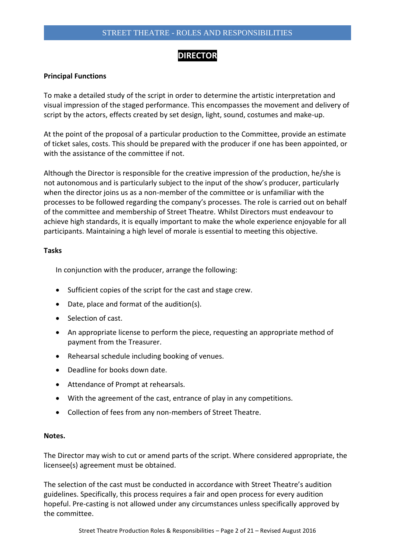# STREET THEATRE - ROLES AND RESPONSIBILITIES

# **DIRECTOR**

# **Principal Functions**

To make a detailed study of the script in order to determine the artistic interpretation and visual impression of the staged performance. This encompasses the movement and delivery of script by the actors, effects created by set design, light, sound, costumes and make-up.

At the point of the proposal of a particular production to the Committee, provide an estimate of ticket sales, costs. This should be prepared with the producer if one has been appointed, or with the assistance of the committee if not.

Although the Director is responsible for the creative impression of the production, he/she is not autonomous and is particularly subject to the input of the show's producer, particularly when the director joins us as a non-member of the committee or is unfamiliar with the processes to be followed regarding the company's processes. The role is carried out on behalf of the committee and membership of Street Theatre. Whilst Directors must endeavour to achieve high standards, it is equally important to make the whole experience enjoyable for all participants. Maintaining a high level of morale is essential to meeting this objective.

# **Tasks**

In conjunction with the producer, arrange the following:

- Sufficient copies of the script for the cast and stage crew.
- Date, place and format of the audition(s).
- Selection of cast.
- An appropriate license to perform the piece, requesting an appropriate method of payment from the Treasurer.
- Rehearsal schedule including booking of venues.
- Deadline for books down date.
- Attendance of Prompt at rehearsals.
- With the agreement of the cast, entrance of play in any competitions.
- Collection of fees from any non-members of Street Theatre.

#### **Notes.**

The Director may wish to cut or amend parts of the script. Where considered appropriate, the licensee(s) agreement must be obtained.

The selection of the cast must be conducted in accordance with Street Theatre's audition guidelines. Specifically, this process requires a fair and open process for every audition hopeful. Pre-casting is not allowed under any circumstances unless specifically approved by the committee.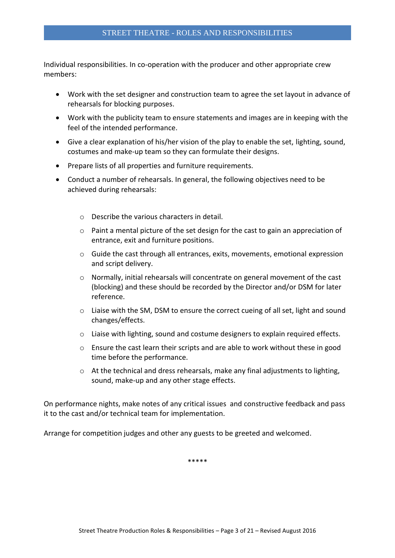Individual responsibilities. In co-operation with the producer and other appropriate crew members:

- Work with the set designer and construction team to agree the set layout in advance of rehearsals for blocking purposes.
- Work with the publicity team to ensure statements and images are in keeping with the feel of the intended performance.
- Give a clear explanation of his/her vision of the play to enable the set, lighting, sound, costumes and make-up team so they can formulate their designs.
- Prepare lists of all properties and furniture requirements.
- Conduct a number of rehearsals. In general, the following objectives need to be achieved during rehearsals:
	- o Describe the various characters in detail.
	- $\circ$  Paint a mental picture of the set design for the cast to gain an appreciation of entrance, exit and furniture positions.
	- o Guide the cast through all entrances, exits, movements, emotional expression and script delivery.
	- o Normally, initial rehearsals will concentrate on general movement of the cast (blocking) and these should be recorded by the Director and/or DSM for later reference.
	- $\circ$  Liaise with the SM, DSM to ensure the correct cueing of all set, light and sound changes/effects.
	- o Liaise with lighting, sound and costume designers to explain required effects.
	- $\circ$  Ensure the cast learn their scripts and are able to work without these in good time before the performance.
	- o At the technical and dress rehearsals, make any final adjustments to lighting, sound, make-up and any other stage effects.

On performance nights, make notes of any critical issues and constructive feedback and pass it to the cast and/or technical team for implementation.

Arrange for competition judges and other any guests to be greeted and welcomed.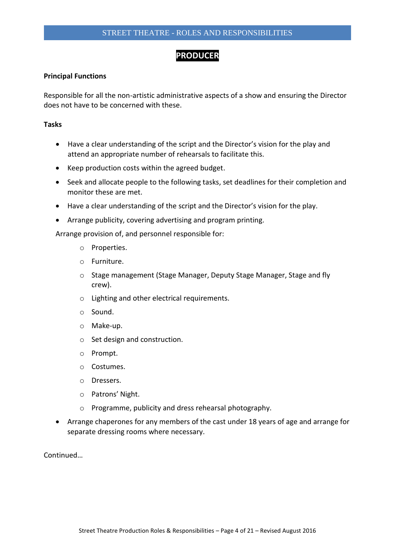# **PRODUCER**

## **Principal Functions**

Responsible for all the non-artistic administrative aspects of a show and ensuring the Director does not have to be concerned with these.

#### **Tasks**

- Have a clear understanding of the script and the Director's vision for the play and attend an appropriate number of rehearsals to facilitate this.
- Keep production costs within the agreed budget.
- Seek and allocate people to the following tasks, set deadlines for their completion and monitor these are met.
- Have a clear understanding of the script and the Director's vision for the play.
- Arrange publicity, covering advertising and program printing.

Arrange provision of, and personnel responsible for:

- o Properties.
- o Furniture.
- o Stage management (Stage Manager, Deputy Stage Manager, Stage and fly crew).
- o Lighting and other electrical requirements.
- o Sound.
- o Make-up.
- o Set design and construction.
- o Prompt.
- o Costumes.
- o Dressers.
- o Patrons' Night.
- o Programme, publicity and dress rehearsal photography.
- Arrange chaperones for any members of the cast under 18 years of age and arrange for separate dressing rooms where necessary.

Continued…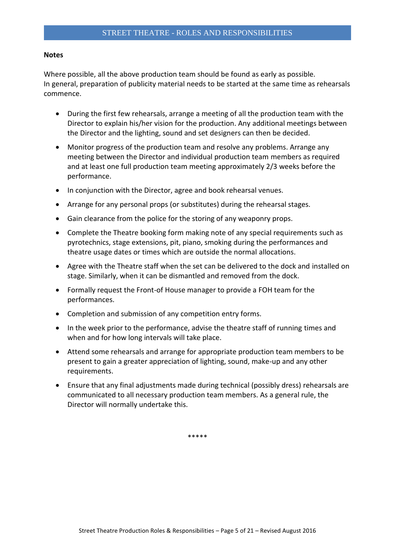#### **Notes**

Where possible, all the above production team should be found as early as possible. In general, preparation of publicity material needs to be started at the same time as rehearsals commence.

- During the first few rehearsals, arrange a meeting of all the production team with the Director to explain his/her vision for the production. Any additional meetings between the Director and the lighting, sound and set designers can then be decided.
- Monitor progress of the production team and resolve any problems. Arrange any meeting between the Director and individual production team members as required and at least one full production team meeting approximately 2/3 weeks before the performance.
- In conjunction with the Director, agree and book rehearsal venues.
- Arrange for any personal props (or substitutes) during the rehearsal stages.
- Gain clearance from the police for the storing of any weaponry props.
- Complete the Theatre booking form making note of any special requirements such as pyrotechnics, stage extensions, pit, piano, smoking during the performances and theatre usage dates or times which are outside the normal allocations.
- Agree with the Theatre staff when the set can be delivered to the dock and installed on stage. Similarly, when it can be dismantled and removed from the dock.
- Formally request the Front-of House manager to provide a FOH team for the performances.
- Completion and submission of any competition entry forms.
- In the week prior to the performance, advise the theatre staff of running times and when and for how long intervals will take place.
- Attend some rehearsals and arrange for appropriate production team members to be present to gain a greater appreciation of lighting, sound, make-up and any other requirements.
- Ensure that any final adjustments made during technical (possibly dress) rehearsals are communicated to all necessary production team members. As a general rule, the Director will normally undertake this.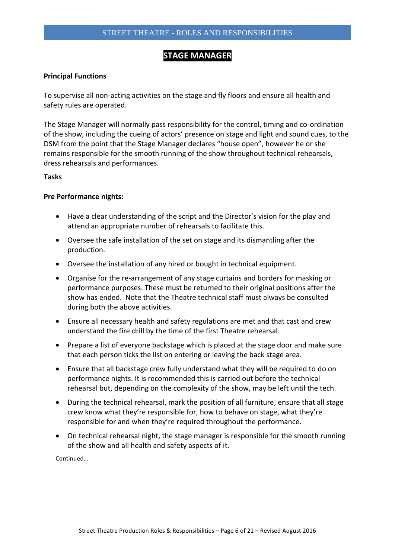# **STAGE MANAGER**

#### **Principal Functions**

To supervise all non-acting activities on the stage and fly floors and ensure all health and safety rules are operated.

The Stage Manager will normally pass responsibility for the control, timing and co-ordination of the show, including the cueing of actors' presence on stage and light and sound cues, to the DSM from the point that the Stage Manager declares "house open", however he or she remains responsible for the smooth running of the show throughout technical rehearsals, dress rehearsals and performances.

#### **Tasks**

#### **Pre Performance nights:**

- Have a clear understanding of the script and the Director's vision for the play and attend an appropriate number of rehearsals to facilitate this.
- Oversee the safe installation of the set on stage and its dismantling after the production.
- Oversee the installation of any hired or bought in technical equipment.
- Organise for the re-arrangement of any stage curtains and borders for masking or performance purposes. These must be returned to their original positions after the show has ended. Note that the Theatre technical staff must always be consulted during both the above activities.
- Ensure all necessary health and safety regulations are met and that cast and crew understand the fire drill by the time of the first Theatre rehearsal.
- Prepare a list of everyone backstage which is placed at the stage door and make sure that each person ticks the list on entering or leaving the back stage area.
- Ensure that all backstage crew fully understand what they will be required to do on performance nights. It is recommended this is carried out before the technical rehearsal but, depending on the complexity of the show, may be left until the tech.
- During the technical rehearsal, mark the position of all furniture, ensure that all stage crew know what they're responsible for, how to behave on stage, what they're responsible for and when they're required throughout the performance.
- On technical rehearsal night, the stage manager is responsible for the smooth running of the show and all health and safety aspects of it.

Continued…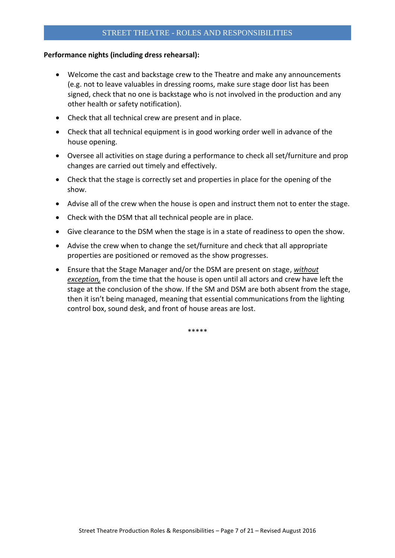# STREET THEATRE - ROLES AND RESPONSIBILITIES

## **Performance nights (including dress rehearsal):**

- Welcome the cast and backstage crew to the Theatre and make any announcements (e.g. not to leave valuables in dressing rooms, make sure stage door list has been signed, check that no one is backstage who is not involved in the production and any other health or safety notification).
- Check that all technical crew are present and in place.
- Check that all technical equipment is in good working order well in advance of the house opening.
- Oversee all activities on stage during a performance to check all set/furniture and prop changes are carried out timely and effectively.
- Check that the stage is correctly set and properties in place for the opening of the show.
- Advise all of the crew when the house is open and instruct them not to enter the stage.
- Check with the DSM that all technical people are in place.
- Give clearance to the DSM when the stage is in a state of readiness to open the show.
- Advise the crew when to change the set/furniture and check that all appropriate properties are positioned or removed as the show progresses.
- Ensure that the Stage Manager and/or the DSM are present on stage, *without exception,* from the time that the house is open until all actors and crew have left the stage at the conclusion of the show. If the SM and DSM are both absent from the stage, then it isn't being managed, meaning that essential communications from the lighting control box, sound desk, and front of house areas are lost.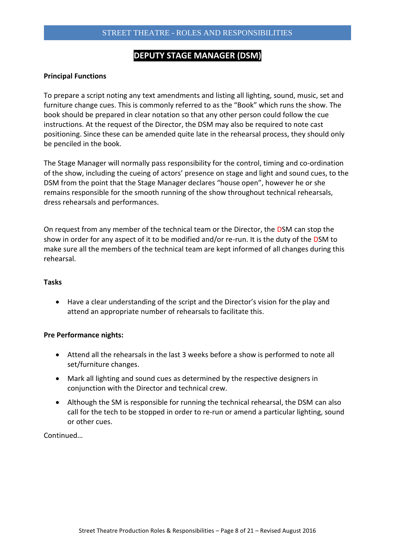# **DEPUTY STAGE MANAGER (DSM)**

# **Principal Functions**

To prepare a script noting any text amendments and listing all lighting, sound, music, set and furniture change cues. This is commonly referred to as the "Book" which runs the show. The book should be prepared in clear notation so that any other person could follow the cue instructions. At the request of the Director, the DSM may also be required to note cast positioning. Since these can be amended quite late in the rehearsal process, they should only be penciled in the book.

The Stage Manager will normally pass responsibility for the control, timing and co-ordination of the show, including the cueing of actors' presence on stage and light and sound cues, to the DSM from the point that the Stage Manager declares "house open", however he or she remains responsible for the smooth running of the show throughout technical rehearsals, dress rehearsals and performances.

On request from any member of the technical team or the Director, the DSM can stop the show in order for any aspect of it to be modified and/or re-run. It is the duty of the DSM to make sure all the members of the technical team are kept informed of all changes during this rehearsal.

# **Tasks**

 Have a clear understanding of the script and the Director's vision for the play and attend an appropriate number of rehearsals to facilitate this.

# **Pre Performance nights:**

- Attend all the rehearsals in the last 3 weeks before a show is performed to note all set/furniture changes.
- Mark all lighting and sound cues as determined by the respective designers in conjunction with the Director and technical crew.
- Although the SM is responsible for running the technical rehearsal, the DSM can also call for the tech to be stopped in order to re-run or amend a particular lighting, sound or other cues.

Continued…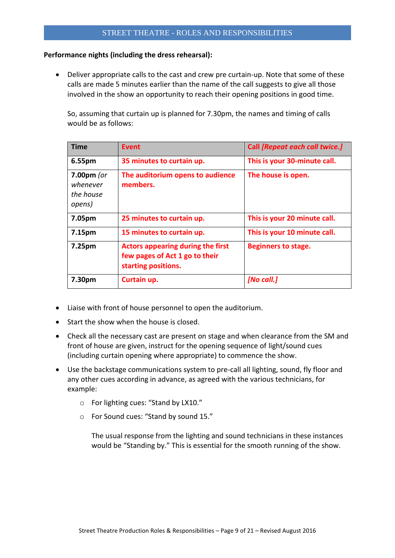# **Performance nights (including the dress rehearsal):**

 Deliver appropriate calls to the cast and crew pre curtain-up. Note that some of these calls are made 5 minutes earlier than the name of the call suggests to give all those involved in the show an opportunity to reach their opening positions in good time.

So, assuming that curtain up is planned for 7.30pm, the names and timing of calls would be as follows:

| <b>Time</b>                                     | <b>Event</b>                                                                                      | Call [Repeat each call twice.] |
|-------------------------------------------------|---------------------------------------------------------------------------------------------------|--------------------------------|
| 6.55pm                                          | 35 minutes to curtain up.                                                                         | This is your 30-minute call.   |
| $7.00pm$ (or<br>whenever<br>the house<br>opens) | The auditorium opens to audience<br>members.                                                      | The house is open.             |
| 7.05pm                                          | 25 minutes to curtain up.                                                                         | This is your 20 minute call.   |
| 7.15pm                                          | 15 minutes to curtain up.                                                                         | This is your 10 minute call.   |
| 7.25pm                                          | <b>Actors appearing during the first</b><br>few pages of Act 1 go to their<br>starting positions. | <b>Beginners to stage.</b>     |
| 7.30pm                                          | Curtain up.                                                                                       | [No call.]                     |

- Liaise with front of house personnel to open the auditorium.
- Start the show when the house is closed.
- Check all the necessary cast are present on stage and when clearance from the SM and front of house are given, instruct for the opening sequence of light/sound cues (including curtain opening where appropriate) to commence the show.
- Use the backstage communications system to pre-call all lighting, sound, fly floor and any other cues according in advance, as agreed with the various technicians, for example:
	- o For lighting cues: "Stand by LX10."
	- o For Sound cues: "Stand by sound 15."

The usual response from the lighting and sound technicians in these instances would be "Standing by." This is essential for the smooth running of the show.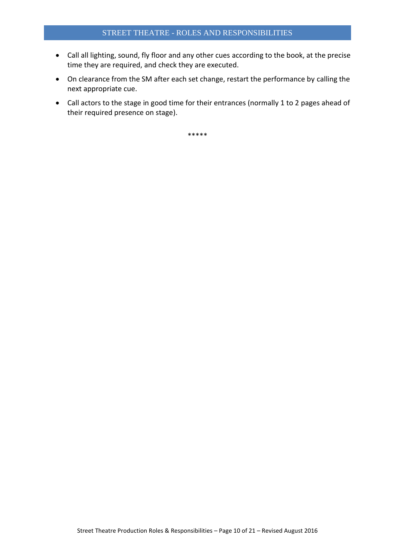- Call all lighting, sound, fly floor and any other cues according to the book, at the precise time they are required, and check they are executed.
- On clearance from the SM after each set change, restart the performance by calling the next appropriate cue.
- Call actors to the stage in good time for their entrances (normally 1 to 2 pages ahead of their required presence on stage).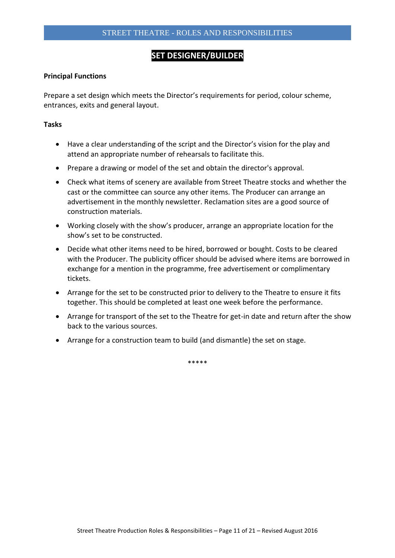# **SET DESIGNER/BUILDER**

## **Principal Functions**

Prepare a set design which meets the Director's requirements for period, colour scheme, entrances, exits and general layout.

#### **Tasks**

- Have a clear understanding of the script and the Director's vision for the play and attend an appropriate number of rehearsals to facilitate this.
- Prepare a drawing or model of the set and obtain the director's approval.
- Check what items of scenery are available from Street Theatre stocks and whether the cast or the committee can source any other items. The Producer can arrange an advertisement in the monthly newsletter. Reclamation sites are a good source of construction materials.
- Working closely with the show's producer, arrange an appropriate location for the show's set to be constructed.
- Decide what other items need to be hired, borrowed or bought. Costs to be cleared with the Producer. The publicity officer should be advised where items are borrowed in exchange for a mention in the programme, free advertisement or complimentary tickets.
- Arrange for the set to be constructed prior to delivery to the Theatre to ensure it fits together. This should be completed at least one week before the performance.
- Arrange for transport of the set to the Theatre for get-in date and return after the show back to the various sources.
- Arrange for a construction team to build (and dismantle) the set on stage.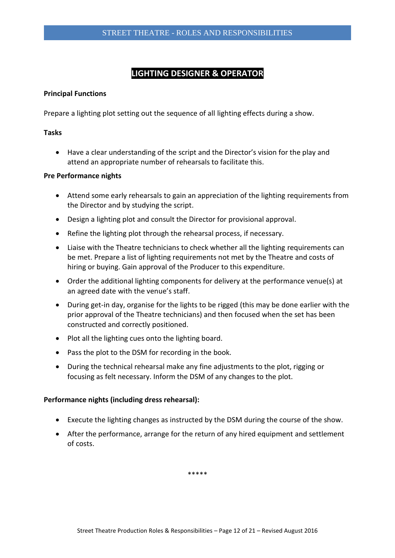# **LIGHTING DESIGNER & OPERATOR**

# **Principal Functions**

Prepare a lighting plot setting out the sequence of all lighting effects during a show.

# **Tasks**

 Have a clear understanding of the script and the Director's vision for the play and attend an appropriate number of rehearsals to facilitate this.

#### **Pre Performance nights**

- Attend some early rehearsals to gain an appreciation of the lighting requirements from the Director and by studying the script.
- Design a lighting plot and consult the Director for provisional approval.
- Refine the lighting plot through the rehearsal process, if necessary.
- Liaise with the Theatre technicians to check whether all the lighting requirements can be met. Prepare a list of lighting requirements not met by the Theatre and costs of hiring or buying. Gain approval of the Producer to this expenditure.
- Order the additional lighting components for delivery at the performance venue(s) at an agreed date with the venue's staff.
- During get-in day, organise for the lights to be rigged (this may be done earlier with the prior approval of the Theatre technicians) and then focused when the set has been constructed and correctly positioned.
- Plot all the lighting cues onto the lighting board.
- Pass the plot to the DSM for recording in the book.
- During the technical rehearsal make any fine adjustments to the plot, rigging or focusing as felt necessary. Inform the DSM of any changes to the plot.

# **Performance nights (including dress rehearsal):**

- Execute the lighting changes as instructed by the DSM during the course of the show.
- After the performance, arrange for the return of any hired equipment and settlement of costs.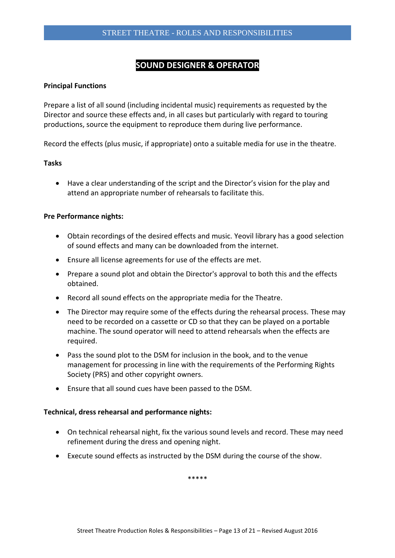# **SOUND DESIGNER & OPERATOR**

## **Principal Functions**

Prepare a list of all sound (including incidental music) requirements as requested by the Director and source these effects and, in all cases but particularly with regard to touring productions, source the equipment to reproduce them during live performance.

Record the effects (plus music, if appropriate) onto a suitable media for use in the theatre.

#### **Tasks**

 Have a clear understanding of the script and the Director's vision for the play and attend an appropriate number of rehearsals to facilitate this.

#### **Pre Performance nights:**

- Obtain recordings of the desired effects and music. Yeovil library has a good selection of sound effects and many can be downloaded from the internet.
- Ensure all license agreements for use of the effects are met.
- Prepare a sound plot and obtain the Director's approval to both this and the effects obtained.
- Record all sound effects on the appropriate media for the Theatre.
- The Director may require some of the effects during the rehearsal process. These may need to be recorded on a cassette or CD so that they can be played on a portable machine. The sound operator will need to attend rehearsals when the effects are required.
- Pass the sound plot to the DSM for inclusion in the book, and to the venue management for processing in line with the requirements of the Performing Rights Society (PRS) and other copyright owners.
- Ensure that all sound cues have been passed to the DSM.

#### **Technical, dress rehearsal and performance nights:**

- On technical rehearsal night, fix the various sound levels and record. These may need refinement during the dress and opening night.
- Execute sound effects as instructed by the DSM during the course of the show.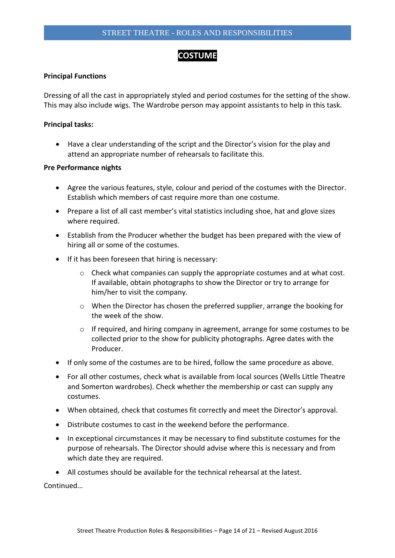# **COSTUME**

# **Principal Functions**

Dressing of all the cast in appropriately styled and period costumes for the setting of the show. This may also include wigs. The Wardrobe person may appoint assistants to help in this task.

# **Principal tasks:**

 Have a clear understanding of the script and the Director's vision for the play and attend an appropriate number of rehearsals to facilitate this.

# **Pre Performance nights**

- Agree the various features, style, colour and period of the costumes with the Director. Establish which members of cast require more than one costume.
- Prepare a list of all cast member's vital statistics including shoe, hat and glove sizes where required.
- Establish from the Producer whether the budget has been prepared with the view of hiring all or some of the costumes.
- If it has been foreseen that hiring is necessary:
	- $\circ$  Check what companies can supply the appropriate costumes and at what cost. If available, obtain photographs to show the Director or try to arrange for him/her to visit the company.
	- $\circ$  When the Director has chosen the preferred supplier, arrange the booking for the week of the show.
	- o If required, and hiring company in agreement, arrange for some costumes to be collected prior to the show for publicity photographs. Agree dates with the Producer.
- If only some of the costumes are to be hired, follow the same procedure as above.
- For all other costumes, check what is available from local sources (Wells Little Theatre and Somerton wardrobes). Check whether the membership or cast can supply any costumes.
- When obtained, check that costumes fit correctly and meet the Director's approval.
- Distribute costumes to cast in the weekend before the performance.
- In exceptional circumstances it may be necessary to find substitute costumes for the purpose of rehearsals. The Director should advise where this is necessary and from which date they are required.
- All costumes should be available for the technical rehearsal at the latest.

Continued…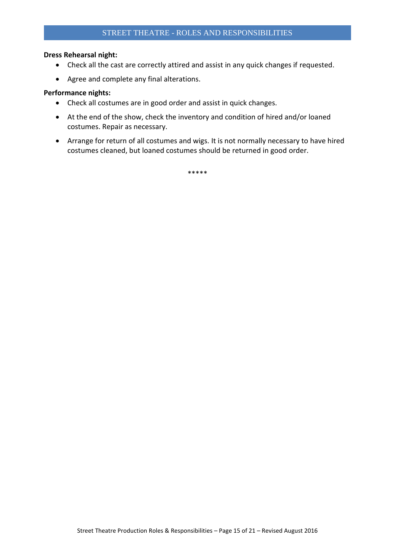# **Dress Rehearsal night:**

- Check all the cast are correctly attired and assist in any quick changes if requested.
- Agree and complete any final alterations.

#### **Performance nights:**

- Check all costumes are in good order and assist in quick changes.
- At the end of the show, check the inventory and condition of hired and/or loaned costumes. Repair as necessary.
- Arrange for return of all costumes and wigs. It is not normally necessary to have hired costumes cleaned, but loaned costumes should be returned in good order.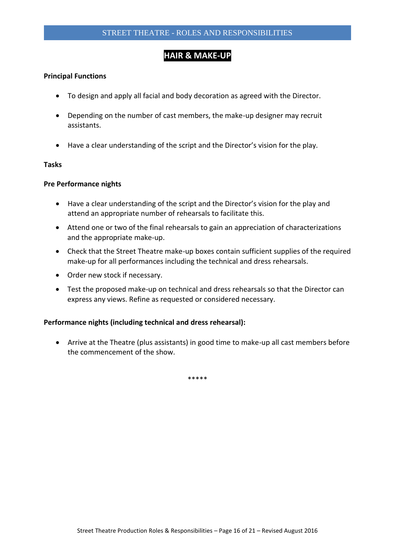# **HAIR & MAKE-UP**

## **Principal Functions**

- To design and apply all facial and body decoration as agreed with the Director.
- Depending on the number of cast members, the make-up designer may recruit assistants.
- Have a clear understanding of the script and the Director's vision for the play.

# **Tasks**

#### **Pre Performance nights**

- Have a clear understanding of the script and the Director's vision for the play and attend an appropriate number of rehearsals to facilitate this.
- Attend one or two of the final rehearsals to gain an appreciation of characterizations and the appropriate make-up.
- Check that the Street Theatre make-up boxes contain sufficient supplies of the required make-up for all performances including the technical and dress rehearsals.
- Order new stock if necessary.
- Test the proposed make-up on technical and dress rehearsals so that the Director can express any views. Refine as requested or considered necessary.

# **Performance nights (including technical and dress rehearsal):**

 Arrive at the Theatre (plus assistants) in good time to make-up all cast members before the commencement of the show.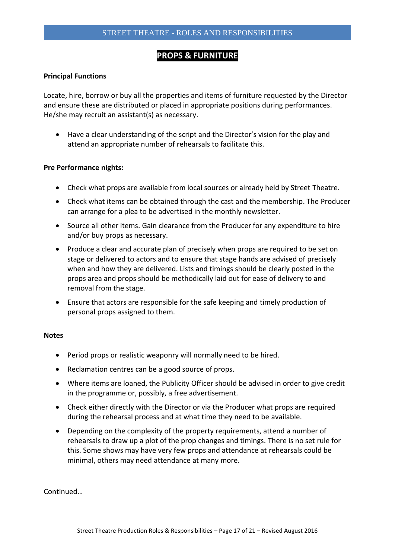# **PROPS & FURNITURE**

#### **Principal Functions**

Locate, hire, borrow or buy all the properties and items of furniture requested by the Director and ensure these are distributed or placed in appropriate positions during performances. He/she may recruit an assistant(s) as necessary.

 Have a clear understanding of the script and the Director's vision for the play and attend an appropriate number of rehearsals to facilitate this.

#### **Pre Performance nights:**

- Check what props are available from local sources or already held by Street Theatre.
- Check what items can be obtained through the cast and the membership. The Producer can arrange for a plea to be advertised in the monthly newsletter.
- Source all other items. Gain clearance from the Producer for any expenditure to hire and/or buy props as necessary.
- Produce a clear and accurate plan of precisely when props are required to be set on stage or delivered to actors and to ensure that stage hands are advised of precisely when and how they are delivered. Lists and timings should be clearly posted in the props area and props should be methodically laid out for ease of delivery to and removal from the stage.
- Ensure that actors are responsible for the safe keeping and timely production of personal props assigned to them.

#### **Notes**

- Period props or realistic weaponry will normally need to be hired.
- Reclamation centres can be a good source of props.
- Where items are loaned, the Publicity Officer should be advised in order to give credit in the programme or, possibly, a free advertisement.
- Check either directly with the Director or via the Producer what props are required during the rehearsal process and at what time they need to be available.
- Depending on the complexity of the property requirements, attend a number of rehearsals to draw up a plot of the prop changes and timings. There is no set rule for this. Some shows may have very few props and attendance at rehearsals could be minimal, others may need attendance at many more.

**Continued**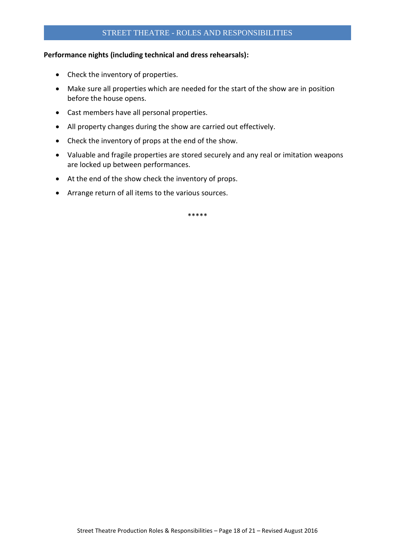## **Performance nights (including technical and dress rehearsals):**

- Check the inventory of properties.
- Make sure all properties which are needed for the start of the show are in position before the house opens.
- Cast members have all personal properties.
- All property changes during the show are carried out effectively.
- Check the inventory of props at the end of the show.
- Valuable and fragile properties are stored securely and any real or imitation weapons are locked up between performances.
- At the end of the show check the inventory of props.
- Arrange return of all items to the various sources.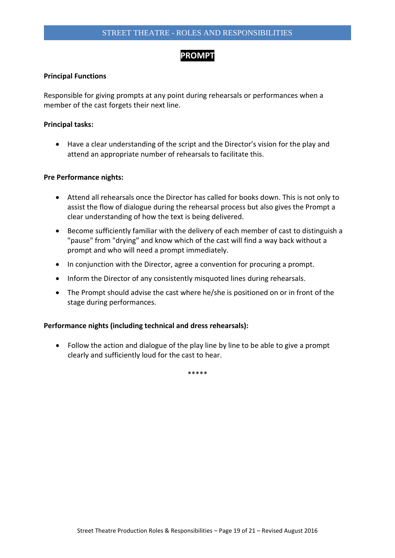# **PROMPT**

# **Principal Functions**

Responsible for giving prompts at any point during rehearsals or performances when a member of the cast forgets their next line.

## **Principal tasks:**

 Have a clear understanding of the script and the Director's vision for the play and attend an appropriate number of rehearsals to facilitate this.

#### **Pre Performance nights:**

- Attend all rehearsals once the Director has called for books down. This is not only to assist the flow of dialogue during the rehearsal process but also gives the Prompt a clear understanding of how the text is being delivered.
- Become sufficiently familiar with the delivery of each member of cast to distinguish a "pause" from "drying" and know which of the cast will find a way back without a prompt and who will need a prompt immediately.
- In conjunction with the Director, agree a convention for procuring a prompt.
- Inform the Director of any consistently misquoted lines during rehearsals.
- The Prompt should advise the cast where he/she is positioned on or in front of the stage during performances.

# **Performance nights (including technical and dress rehearsals):**

 Follow the action and dialogue of the play line by line to be able to give a prompt clearly and sufficiently loud for the cast to hear.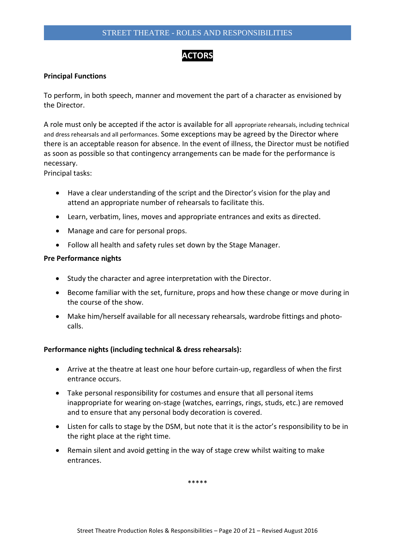# **ACTORS**

## **Principal Functions**

To perform, in both speech, manner and movement the part of a character as envisioned by the Director.

A role must only be accepted if the actor is available for all appropriate rehearsals, including technical and dress rehearsals and all performances. Some exceptions may be agreed by the Director where there is an acceptable reason for absence. In the event of illness, the Director must be notified as soon as possible so that contingency arrangements can be made for the performance is necessary.

Principal tasks:

- Have a clear understanding of the script and the Director's vision for the play and attend an appropriate number of rehearsals to facilitate this.
- Learn, verbatim, lines, moves and appropriate entrances and exits as directed.
- Manage and care for personal props.
- Follow all health and safety rules set down by the Stage Manager.

#### **Pre Performance nights**

- Study the character and agree interpretation with the Director.
- Become familiar with the set, furniture, props and how these change or move during in the course of the show.
- Make him/herself available for all necessary rehearsals, wardrobe fittings and photocalls.

# **Performance nights (including technical & dress rehearsals):**

- Arrive at the theatre at least one hour before curtain-up, regardless of when the first entrance occurs.
- Take personal responsibility for costumes and ensure that all personal items inappropriate for wearing on-stage (watches, earrings, rings, studs, etc.) are removed and to ensure that any personal body decoration is covered.
- Listen for calls to stage by the DSM, but note that it is the actor's responsibility to be in the right place at the right time.
- Remain silent and avoid getting in the way of stage crew whilst waiting to make entrances.